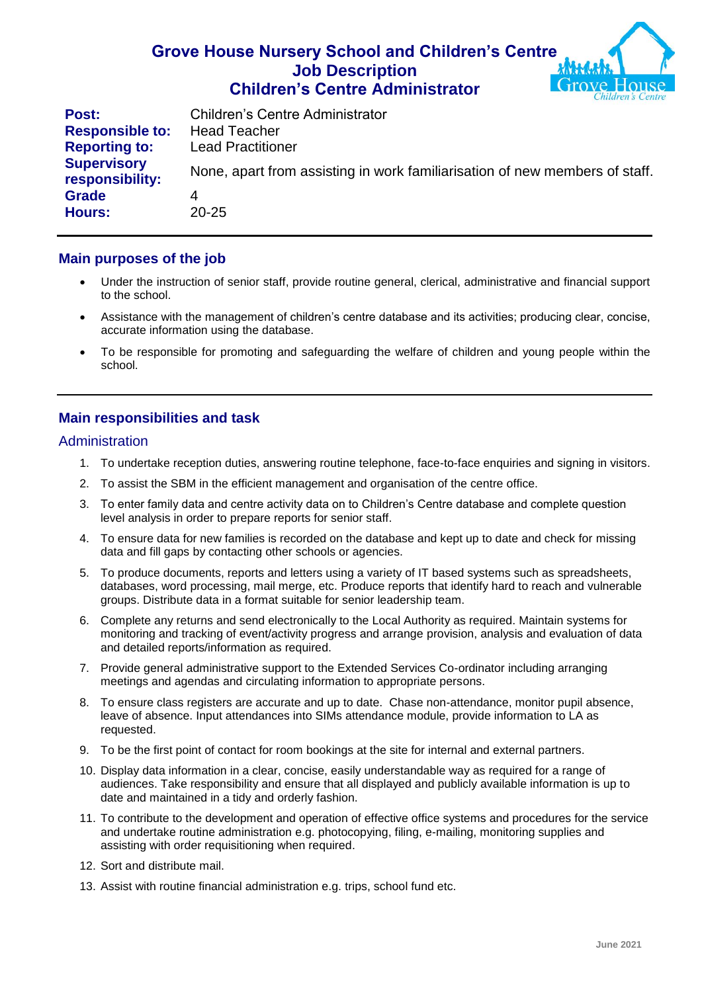## **Grove House Nursery School and Children's Centre Job Description Children's Centre Administrator**



| Post:                                 | <b>Children's Centre Administrator</b>                                      |
|---------------------------------------|-----------------------------------------------------------------------------|
| <b>Responsible to:</b>                | <b>Head Teacher</b>                                                         |
| <b>Reporting to:</b>                  | <b>Lead Practitioner</b>                                                    |
| <b>Supervisory</b><br>responsibility: | None, apart from assisting in work familiarisation of new members of staff. |
| <b>Grade</b>                          | 4                                                                           |
| <b>Hours:</b>                         | $20 - 25$                                                                   |

### **Main purposes of the job**

- Under the instruction of senior staff, provide routine general, clerical, administrative and financial support to the school.
- Assistance with the management of children's centre database and its activities; producing clear, concise, accurate information using the database.
- To be responsible for promoting and safeguarding the welfare of children and young people within the school.

## **Main responsibilities and task**

#### **Administration**

- 1. To undertake reception duties, answering routine telephone, face-to-face enquiries and signing in visitors.
- 2. To assist the SBM in the efficient management and organisation of the centre office.
- 3. To enter family data and centre activity data on to Children's Centre database and complete question level analysis in order to prepare reports for senior staff.
- 4. To ensure data for new families is recorded on the database and kept up to date and check for missing data and fill gaps by contacting other schools or agencies.
- 5. To produce documents, reports and letters using a variety of IT based systems such as spreadsheets, databases, word processing, mail merge, etc. Produce reports that identify hard to reach and vulnerable groups. Distribute data in a format suitable for senior leadership team.
- 6. Complete any returns and send electronically to the Local Authority as required. Maintain systems for monitoring and tracking of event/activity progress and arrange provision, analysis and evaluation of data and detailed reports/information as required.
- 7. Provide general administrative support to the Extended Services Co-ordinator including arranging meetings and agendas and circulating information to appropriate persons.
- 8. To ensure class registers are accurate and up to date. Chase non-attendance, monitor pupil absence, leave of absence. Input attendances into SIMs attendance module, provide information to LA as requested.
- 9. To be the first point of contact for room bookings at the site for internal and external partners.
- 10. Display data information in a clear, concise, easily understandable way as required for a range of audiences. Take responsibility and ensure that all displayed and publicly available information is up to date and maintained in a tidy and orderly fashion.
- 11. To contribute to the development and operation of effective office systems and procedures for the service and undertake routine administration e.g. photocopying, filing, e-mailing, monitoring supplies and assisting with order requisitioning when required.
- 12. Sort and distribute mail.
- 13. Assist with routine financial administration e.g. trips, school fund etc.